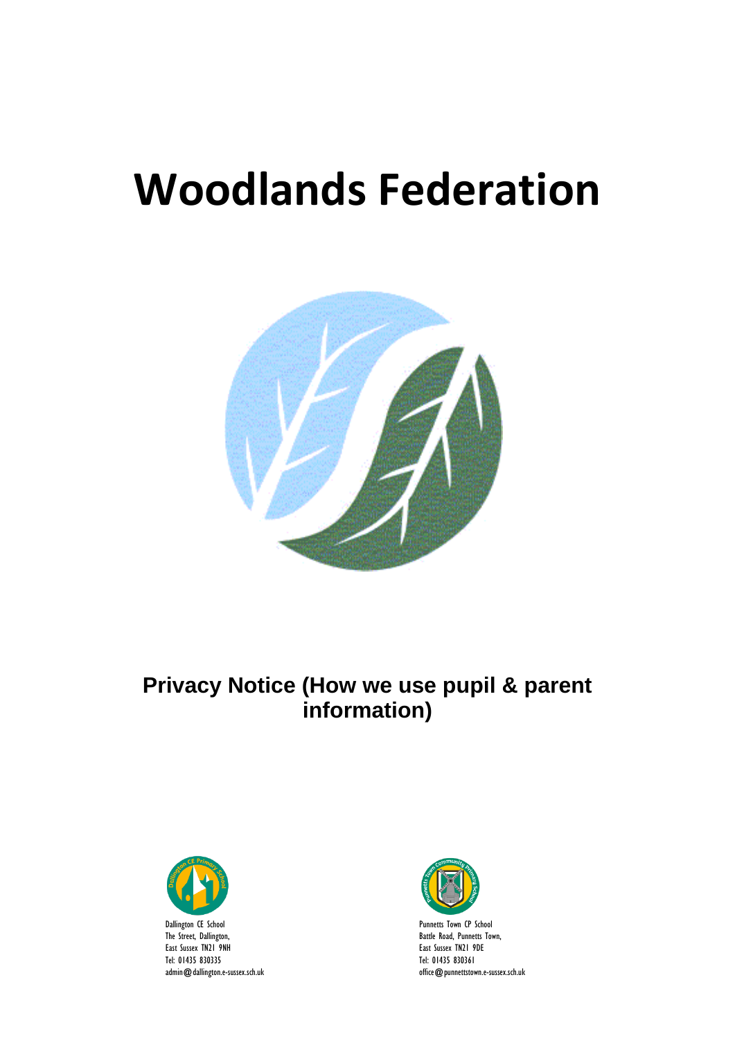# **Woodlands Federation**



# **Privacy Notice (How we use pupil & parent information)**



East Sussex TN21 9NH Tel: 01435 830335 admin@dallington.e-sussex.sch.uk

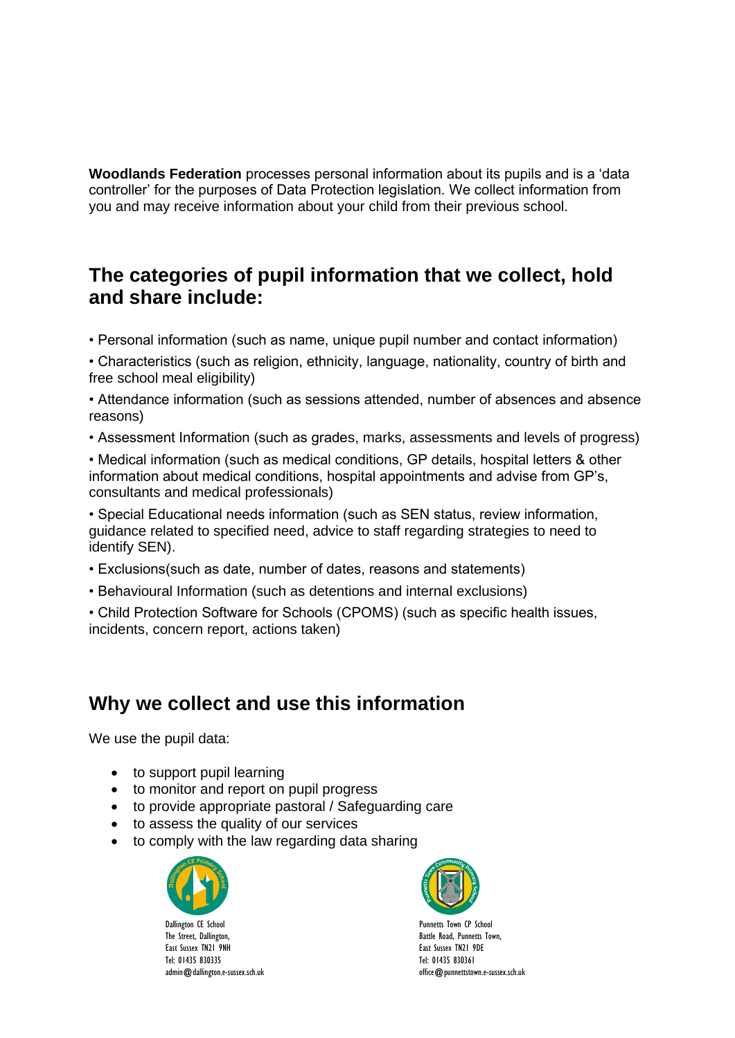**Woodlands Federation** processes personal information about its pupils and is a 'data controller' for the purposes of Data Protection legislation. We collect information from you and may receive information about your child from their previous school.

#### **The categories of pupil information that we collect, hold and share include:**

• Personal information (such as name, unique pupil number and contact information)

• Characteristics (such as religion, ethnicity, language, nationality, country of birth and free school meal eligibility)

• Attendance information (such as sessions attended, number of absences and absence reasons)

• Assessment Information (such as grades, marks, assessments and levels of progress)

• Medical information (such as medical conditions, GP details, hospital letters & other information about medical conditions, hospital appointments and advise from GP's, consultants and medical professionals)

• Special Educational needs information (such as SEN status, review information, guidance related to specified need, advice to staff regarding strategies to need to identify SEN).

- Exclusions(such as date, number of dates, reasons and statements)
- Behavioural Information (such as detentions and internal exclusions)

• Child Protection Software for Schools (CPOMS) (such as specific health issues, incidents, concern report, actions taken)

#### **Why we collect and use this information**

We use the pupil data:

- to support pupil learning
- to monitor and report on pupil progress
- to provide appropriate pastoral / Safeguarding care
- to assess the quality of our services
- to comply with the law regarding data sharing



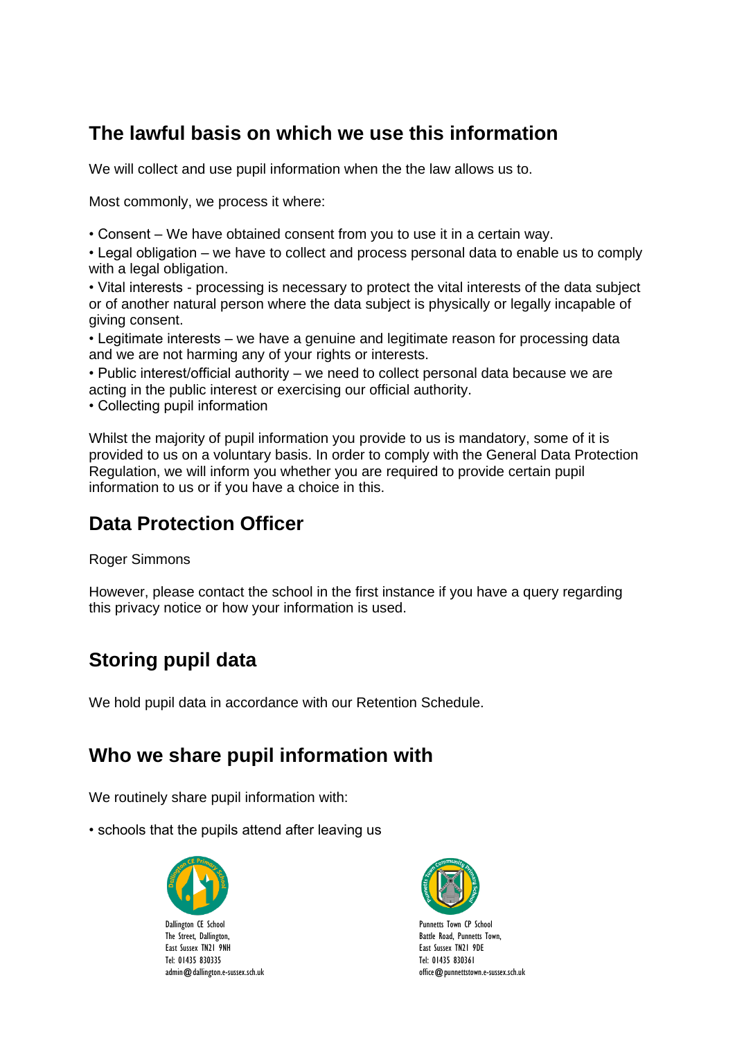## **The lawful basis on which we use this information**

We will collect and use pupil information when the the law allows us to.

Most commonly, we process it where:

• Consent – We have obtained consent from you to use it in a certain way.

• Legal obligation – we have to collect and process personal data to enable us to comply with a legal obligation.

• Vital interests - processing is necessary to protect the vital interests of the data subject or of another natural person where the data subject is physically or legally incapable of giving consent.

• Legitimate interests – we have a genuine and legitimate reason for processing data and we are not harming any of your rights or interests.

• Public interest/official authority – we need to collect personal data because we are acting in the public interest or exercising our official authority.

• Collecting pupil information

Whilst the majority of pupil information you provide to us is mandatory, some of it is provided to us on a voluntary basis. In order to comply with the General Data Protection Regulation, we will inform you whether you are required to provide certain pupil information to us or if you have a choice in this.

# **Data Protection Officer**

Roger Simmons

However, please contact the school in the first instance if you have a query regarding this privacy notice or how your information is used.

# **Storing pupil data**

We hold pupil data in accordance with our Retention Schedule.

## **Who we share pupil information with**

We routinely share pupil information with:

• schools that the pupils attend after leaving us



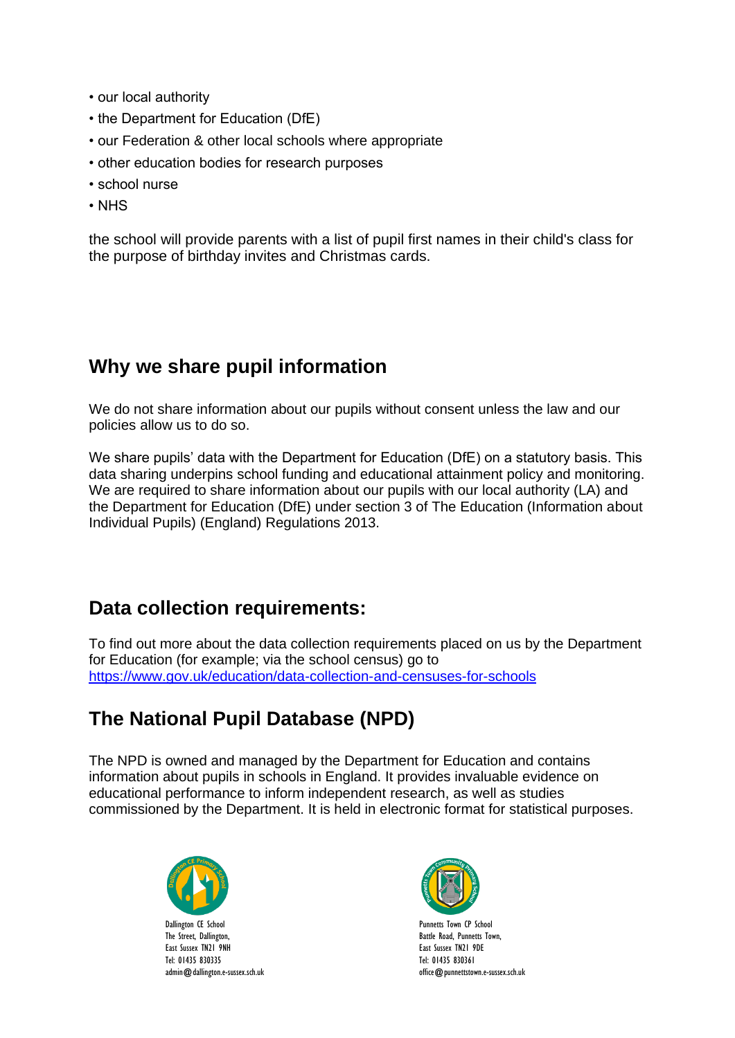- our local authority
- the Department for Education (DfE)
- our Federation & other local schools where appropriate
- other education bodies for research purposes
- school nurse
- NHS

the school will provide parents with a list of pupil first names in their child's class for the purpose of birthday invites and Christmas cards.

## **Why we share pupil information**

We do not share information about our pupils without consent unless the law and our policies allow us to do so.

We share pupils' data with the Department for Education (DfE) on a statutory basis. This data sharing underpins school funding and educational attainment policy and monitoring. We are required to share information about our pupils with our local authority (LA) and the Department for Education (DfE) under section 3 of The Education (Information about Individual Pupils) (England) Regulations 2013.

#### **Data collection requirements:**

To find out more about the data collection requirements placed on us by the Department for Education (for example; via the school census) go to <https://www.gov.uk/education/data-collection-and-censuses-for-schools>

# **The National Pupil Database (NPD)**

The NPD is owned and managed by the Department for Education and contains information about pupils in schools in England. It provides invaluable evidence on educational performance to inform independent research, as well as studies commissioned by the Department. It is held in electronic format for statistical purposes.



admin@dallington.e-sussex.sch.uk

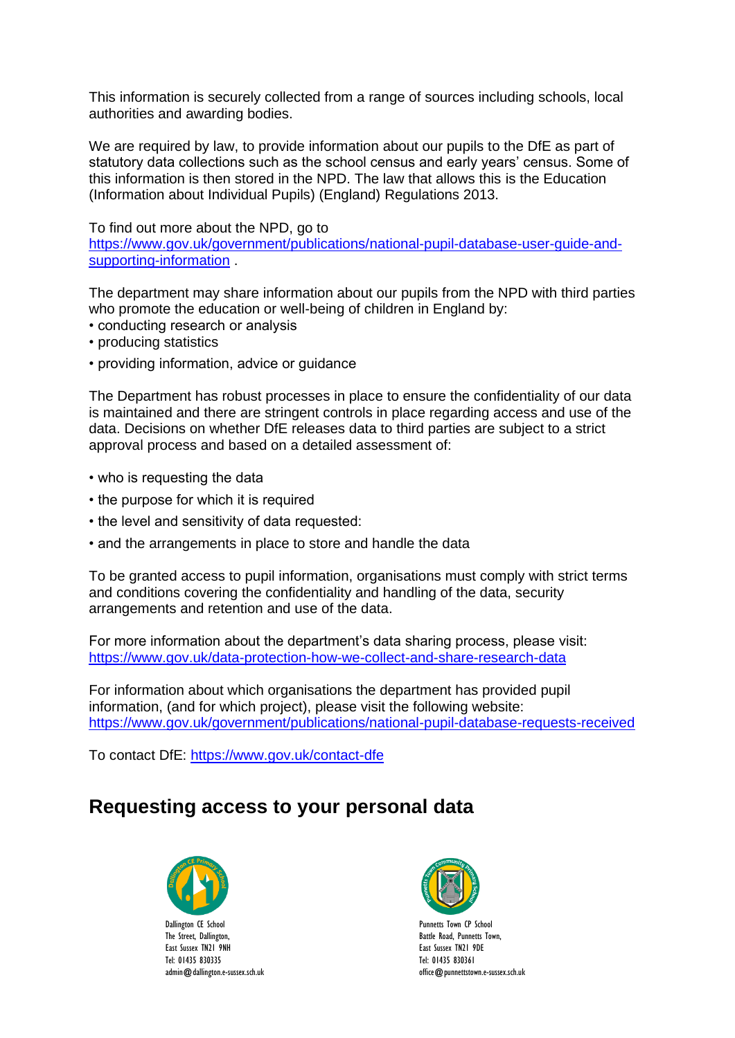This information is securely collected from a range of sources including schools, local authorities and awarding bodies.

We are required by law, to provide information about our pupils to the DfE as part of statutory data collections such as the school census and early years' census. Some of this information is then stored in the NPD. The law that allows this is the Education (Information about Individual Pupils) (England) Regulations 2013.

To find out more about the NPD, go to

[https://www.gov.uk/government/publications/national-pupil-database-user-guide-and](https://www.gov.uk/government/publications/national-pupil-database-user-guide-and-supporting-information)[supporting-information](https://www.gov.uk/government/publications/national-pupil-database-user-guide-and-supporting-information) .

The department may share information about our pupils from the NPD with third parties who promote the education or well-being of children in England by:

- conducting research or analysis
- producing statistics
- providing information, advice or guidance

The Department has robust processes in place to ensure the confidentiality of our data is maintained and there are stringent controls in place regarding access and use of the data. Decisions on whether DfE releases data to third parties are subject to a strict approval process and based on a detailed assessment of:

- who is requesting the data
- the purpose for which it is required
- the level and sensitivity of data requested:
- and the arrangements in place to store and handle the data

To be granted access to pupil information, organisations must comply with strict terms and conditions covering the confidentiality and handling of the data, security arrangements and retention and use of the data.

For more information about the department's data sharing process, please visit: <https://www.gov.uk/data-protection-how-we-collect-and-share-research-data>

For information about which organisations the department has provided pupil information, (and for which project), please visit the following website: <https://www.gov.uk/government/publications/national-pupil-database-requests-received>

To contact DfE:<https://www.gov.uk/contact-dfe>

## **Requesting access to your personal data**